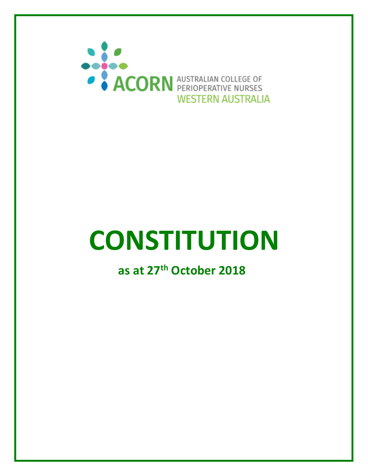

# **CONSTITUTION**

**as at 27th October 2018**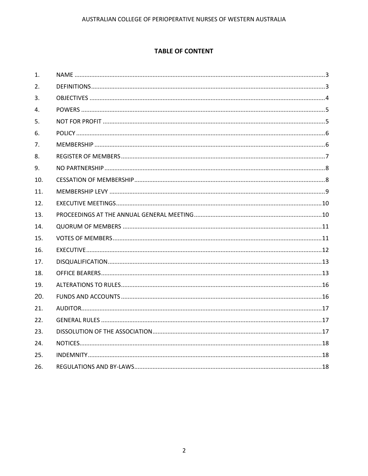## **TABLE OF CONTENT**

| 1.             |  |
|----------------|--|
| 2.             |  |
| 3.             |  |
| 4.             |  |
| 5.             |  |
| 6.             |  |
| 7 <sub>1</sub> |  |
| 8.             |  |
| 9.             |  |
| 10.            |  |
| 11.            |  |
| 12.            |  |
| 13.            |  |
| 14.            |  |
| 15.            |  |
| 16.            |  |
| 17.            |  |
| 18.            |  |
| 19.            |  |
| 20.            |  |
| 21.            |  |
| 22.            |  |
| 23.            |  |
| 24.            |  |
| 25.            |  |
| 26.            |  |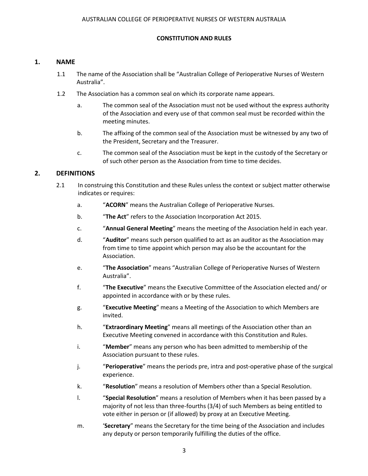#### **CONSTITUTION AND RULES**

#### <span id="page-2-0"></span>**1. NAME**

- 1.1 The name of the Association shall be "Australian College of Perioperative Nurses of Western Australia".
- 1.2 The Association has a common seal on which its corporate name appears.
	- a. The common seal of the Association must not be used without the express authority of the Association and every use of that common seal must be recorded within the meeting minutes.
	- b. The affixing of the common seal of the Association must be witnessed by any two of the President, Secretary and the Treasurer.
	- c. The common seal of the Association must be kept in the custody of the Secretary or of such other person as the Association from time to time decides.

## <span id="page-2-1"></span>**2. DEFINITIONS**

- 2.1 In construing this Constitution and these Rules unless the context or subject matter otherwise indicates or requires:
	- a. "**ACORN**" means the Australian College of Perioperative Nurses.
	- b. "**The Act**" refers to the Association Incorporation Act 2015.
	- c. "**Annual General Meeting**" means the meeting of the Association held in each year.
	- d. "**Auditor**" means such person qualified to act as an auditor as the Association may from time to time appoint which person may also be the accountant for the Association.
	- e. "**The Association**" means "Australian College of Perioperative Nurses of Western Australia".
	- f. "**The Executive**" means the Executive Committee of the Association elected and/ or appointed in accordance with or by these rules.
	- g. "**Executive Meeting**" means a Meeting of the Association to which Members are invited.
	- h. "**Extraordinary Meeting**" means all meetings of the Association other than an Executive Meeting convened in accordance with this Constitution and Rules.
	- i. "**Member**" means any person who has been admitted to membership of the Association pursuant to these rules.
	- j. "**Perioperative**" means the periods pre, intra and post-operative phase of the surgical experience.
	- k. "**Resolution**" means a resolution of Members other than a Special Resolution.
	- l. "**Special Resolution**" means a resolution of Members when it has been passed by a majority of not less than three-fourths (3/4) of such Members as being entitled to vote either in person or (if allowed) by proxy at an Executive Meeting.
	- m. '**Secretary**" means the Secretary for the time being of the Association and includes any deputy or person temporarily fulfilling the duties of the office.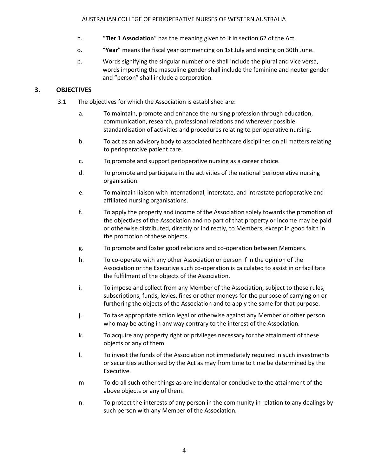- n. "**Tier 1 Association**" has the meaning given to it in section 62 of the Act.
- o. "**Year**" means the fiscal year commencing on 1st July and ending on 30th June.
- p. Words signifying the singular number one shall include the plural and vice versa, words importing the masculine gender shall include the feminine and neuter gender and "person" shall include a corporation.

## <span id="page-3-0"></span>**3. OBJECTIVES**

- <span id="page-3-1"></span>3.1 The objectives for which the Association is established are:
	- a. To maintain, promote and enhance the nursing profession through education, communication, research, professional relations and wherever possible standardisation of activities and procedures relating to perioperative nursing.
	- b. To act as an advisory body to associated healthcare disciplines on all matters relating to perioperative patient care.
	- c. To promote and support perioperative nursing as a career choice.
	- d. To promote and participate in the activities of the national perioperative nursing organisation.
	- e. To maintain liaison with international, interstate, and intrastate perioperative and affiliated nursing organisations.
	- f. To apply the property and income of the Association solely towards the promotion of the objectives of the Association and no part of that property or income may be paid or otherwise distributed, directly or indirectly, to Members, except in good faith in the promotion of these objects.
	- g. To promote and foster good relations and co-operation between Members.
	- h. To co-operate with any other Association or person if in the opinion of the Association or the Executive such co-operation is calculated to assist in or facilitate the fulfilment of the objects of the Association.
	- i. To impose and collect from any Member of the Association, subject to these rules, subscriptions, funds, levies, fines or other moneys for the purpose of carrying on or furthering the objects of the Association and to apply the same for that purpose.
	- j. To take appropriate action legal or otherwise against any Member or other person who may be acting in any way contrary to the interest of the Association.
	- k. To acquire any property right or privileges necessary for the attainment of these objects or any of them.
	- l. To invest the funds of the Association not immediately required in such investments or securities authorised by the Act as may from time to time be determined by the Executive.
	- m. To do all such other things as are incidental or conducive to the attainment of the above objects or any of them.
	- n. To protect the interests of any person in the community in relation to any dealings by such person with any Member of the Association.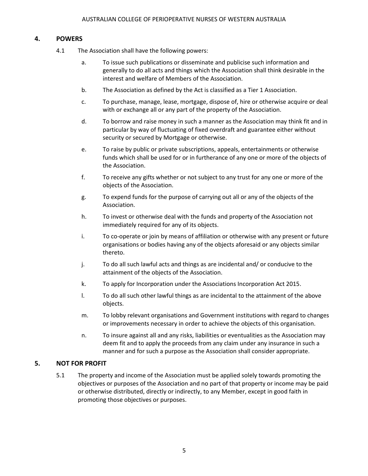## **4. POWERS**

- 4.1 The Association shall have the following powers:
	- a. To issue such publications or disseminate and publicise such information and generally to do all acts and things which the Association shall think desirable in the interest and welfare of Members of the Association.
	- b. The Association as defined by the Act is classified as a Tier 1 Association.
	- c. To purchase, manage, lease, mortgage, dispose of, hire or otherwise acquire or deal with or exchange all or any part of the property of the Association.
	- d. To borrow and raise money in such a manner as the Association may think fit and in particular by way of fluctuating of fixed overdraft and guarantee either without security or secured by Mortgage or otherwise.
	- e. To raise by public or private subscriptions, appeals, entertainments or otherwise funds which shall be used for or in furtherance of any one or more of the objects of the Association.
	- f. To receive any gifts whether or not subject to any trust for any one or more of the objects of the Association.
	- g. To expend funds for the purpose of carrying out all or any of the objects of the Association.
	- h. To invest or otherwise deal with the funds and property of the Association not immediately required for any of its objects.
	- i. To co-operate or join by means of affiliation or otherwise with any present or future organisations or bodies having any of the objects aforesaid or any objects similar thereto.
	- j. To do all such lawful acts and things as are incidental and/ or conducive to the attainment of the objects of the Association.
	- k. To apply for Incorporation under the Associations Incorporation Act 2015.
	- l. To do all such other lawful things as are incidental to the attainment of the above objects.
	- m. To lobby relevant organisations and Government institutions with regard to changes or improvements necessary in order to achieve the objects of this organisation.
	- n. To insure against all and any risks, liabilities or eventualities as the Association may deem fit and to apply the proceeds from any claim under any insurance in such a manner and for such a purpose as the Association shall consider appropriate.

## <span id="page-4-0"></span>**5. NOT FOR PROFIT**

<span id="page-4-1"></span>5.1 The property and income of the Association must be applied solely towards promoting the objectives or purposes of the Association and no part of that property or income may be paid or otherwise distributed, directly or indirectly, to any Member, except in good faith in promoting those objectives or purposes.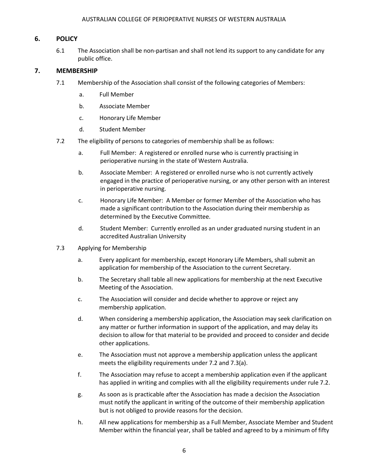#### <span id="page-5-0"></span>AUSTRALIAN COLLEGE OF PERIOPERATIVE NURSES OF WESTERN AUSTRALIA

#### **6. POLICY**

6.1 The Association shall be non-partisan and shall not lend its support to any candidate for any public office.

#### **7. MEMBERSHIP**

- 7.1 Membership of the Association shall consist of the following categories of Members:
	- a. Full Member
	- b. Associate Member
	- c. Honorary Life Member
	- d. Student Member
- 7.2 The eligibility of persons to categories of membership shall be as follows:
	- a. Full Member: A registered or enrolled nurse who is currently practising in perioperative nursing in the state of Western Australia.
	- b. Associate Member: A registered or enrolled nurse who is not currently actively engaged in the practice of perioperative nursing, or any other person with an interest in perioperative nursing.
	- c. Honorary Life Member: A Member or former Member of the Association who has made a significant contribution to the Association during their membership as determined by the Executive Committee.
	- d. Student Member: Currently enrolled as an under graduated nursing student in an accredited Australian University
- 7.3 Applying for Membership
	- a. Every applicant for membership, except Honorary Life Members, shall submit an application for membership of the Association to the current Secretary.
	- b. The Secretary shall table all new applications for membership at the next Executive Meeting of the Association.
	- c. The Association will consider and decide whether to approve or reject any membership application.
	- d. When considering a membership application, the Association may seek clarification on any matter or further information in support of the application, and may delay its decision to allow for that material to be provided and proceed to consider and decide other applications.
	- e. The Association must not approve a membership application unless the applicant meets the eligibility requirements under 7.2 and 7.3(a).
	- f. The Association may refuse to accept a membership application even if the applicant has applied in writing and complies with all the eligibility requirements under rule 7.2.
	- g. As soon as is practicable after the Association has made a decision the Association must notify the applicant in writing of the outcome of their membership application but is not obliged to provide reasons for the decision.
	- h. All new applications for membership as a Full Member, Associate Member and Student Member within the financial year, shall be tabled and agreed to by a minimum of fifty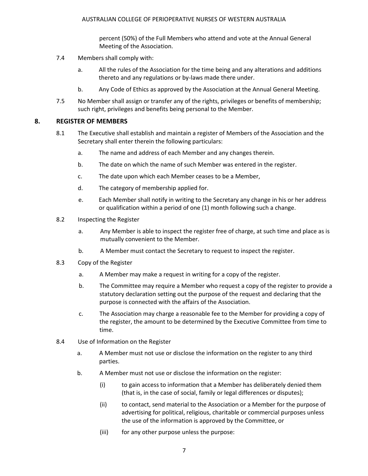percent (50%) of the Full Members who attend and vote at the Annual General Meeting of the Association.

- 7.4 Members shall comply with:
	- a. All the rules of the Association for the time being and any alterations and additions thereto and any regulations or by-laws made there under.
	- b. Any Code of Ethics as approved by the Association at the Annual General Meeting.
- 7.5 No Member shall assign or transfer any of the rights, privileges or benefits of membership; such right, privileges and benefits being personal to the Member.

## <span id="page-6-0"></span>**8. REGISTER OF MEMBERS**

- 8.1 The Executive shall establish and maintain a register of Members of the Association and the Secretary shall enter therein the following particulars:
	- a. The name and address of each Member and any changes therein.
	- b. The date on which the name of such Member was entered in the register.
	- c. The date upon which each Member ceases to be a Member,
	- d. The category of membership applied for.
	- e. Each Member shall notify in writing to the Secretary any change in his or her address or qualification within a period of one (1) month following such a change.
- 8.2 Inspecting the Register
	- a. Any Member is able to inspect the register free of charge, at such time and place as is mutually convenient to the Member.
	- b. A Member must contact the Secretary to request to inspect the register.
- 8.3 Copy of the Register
	- a. A Member may make a request in writing for a copy of the register.
	- b. The Committee may require a Member who request a copy of the register to provide a statutory declaration setting out the purpose of the request and declaring that the purpose is connected with the affairs of the Association.
	- c. The Association may charge a reasonable fee to the Member for providing a copy of the register, the amount to be determined by the Executive Committee from time to time.
- 8.4 Use of Information on the Register
	- a. A Member must not use or disclose the information on the register to any third parties.
	- b. A Member must not use or disclose the information on the register:
		- (i) to gain access to information that a Member has deliberately denied them (that is, in the case of social, family or legal differences or disputes);
		- (ii) to contact, send material to the Association or a Member for the purpose of advertising for political, religious, charitable or commercial purposes unless the use of the information is approved by the Committee, or
		- (iii) for any other purpose unless the purpose: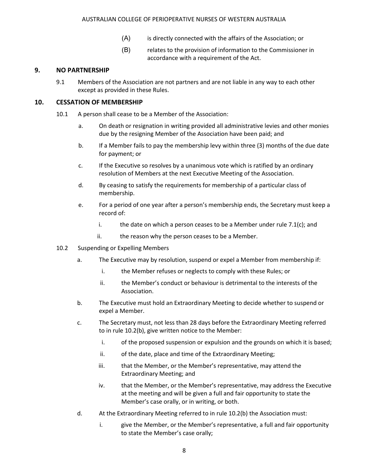#### AUSTRALIAN COLLEGE OF PERIOPERATIVE NURSES OF WESTERN AUSTRALIA

- (A) is directly connected with the affairs of the Association; or
- (B) relates to the provision of information to the Commissioner in accordance with a requirement of the Act.

#### <span id="page-7-0"></span>**9. NO PARTNERSHIP**

9.1 Members of the Association are not partners and are not liable in any way to each other except as provided in these Rules.

#### <span id="page-7-1"></span>**10. CESSATION OF MEMBERSHIP**

- 10.1 A person shall cease to be a Member of the Association:
	- a. On death or resignation in writing provided all administrative levies and other monies due by the resigning Member of the Association have been paid; and
	- b. If a Member fails to pay the membership levy within three (3) months of the due date for payment; or
	- c. If the Executive so resolves by a unanimous vote which is ratified by an ordinary resolution of Members at the next Executive Meeting of the Association.
	- d. By ceasing to satisfy the requirements for membership of a particular class of membership.
	- e. For a period of one year after a person's membership ends, the Secretary must keep a record of:
		- i. the date on which a person ceases to be a Member under rule  $7.1(c)$ ; and
		- ii. the reason why the person ceases to be a Member.
- 10.2 Suspending or Expelling Members
	- a. The Executive may by resolution, suspend or expel a Member from membership if:
		- i. the Member refuses or neglects to comply with these Rules; or
		- ii. the Member's conduct or behaviour is detrimental to the interests of the Association.
	- b. The Executive must hold an Extraordinary Meeting to decide whether to suspend or expel a Member.
	- c. The Secretary must, not less than 28 days before the Extraordinary Meeting referred to in rule 10.2(b), give written notice to the Member:
		- i. of the proposed suspension or expulsion and the grounds on which it is based;
		- ii. of the date, place and time of the Extraordinary Meeting;
		- iii. that the Member, or the Member's representative, may attend the Extraordinary Meeting; and
		- iv. that the Member, or the Member's representative, may address the Executive at the meeting and will be given a full and fair opportunity to state the Member's case orally, or in writing, or both.
	- d. At the Extraordinary Meeting referred to in rule 10.2(b) the Association must:
		- i. give the Member, or the Member's representative, a full and fair opportunity to state the Member's case orally;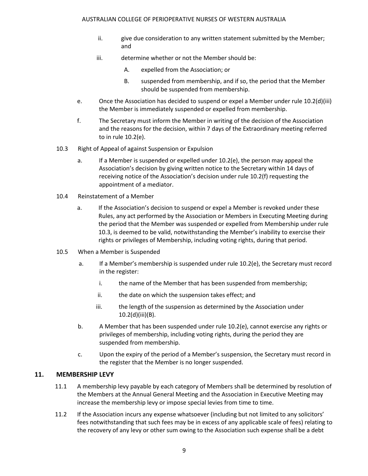- ii. give due consideration to any written statement submitted by the Member; and
- iii. determine whether or not the Member should be:
	- A. expelled from the Association; or
	- B. suspended from membership, and if so, the period that the Member should be suspended from membership.
- e. Once the Association has decided to suspend or expel a Member under rule 10.2(d)(iii) the Member is immediately suspended or expelled from membership.
- f. The Secretary must inform the Member in writing of the decision of the Association and the reasons for the decision, within 7 days of the Extraordinary meeting referred to in rule 10.2(e).
- 10.3 Right of Appeal of against Suspension or Expulsion
	- a. If a Member is suspended or expelled under 10.2(e), the person may appeal the Association's decision by giving written notice to the Secretary within 14 days of receiving notice of the Association's decision under rule 10.2(f) requesting the appointment of a mediator.
- 10.4 Reinstatement of a Member
	- a. If the Association's decision to suspend or expel a Member is revoked under these Rules, any act performed by the Association or Members in Executing Meeting during the period that the Member was suspended or expelled from Membership under rule 10.3, is deemed to be valid, notwithstanding the Member's inability to exercise their rights or privileges of Membership, including voting rights, during that period.
- 10.5 When a Member is Suspended
	- a. If a Member's membership is suspended under rule 10.2(e), the Secretary must record in the register:
		- i. the name of the Member that has been suspended from membership;
		- ii. the date on which the suspension takes effect; and
		- iii. the length of the suspension as determined by the Association under 10.2(d)(iii)(B).
	- b. A Member that has been suspended under rule 10.2(e), cannot exercise any rights or privileges of membership, including voting rights, during the period they are suspended from membership.
	- c. Upon the expiry of the period of a Member's suspension, the Secretary must record in the register that the Member is no longer suspended.

## <span id="page-8-0"></span>**11. MEMBERSHIP LEVY**

- 11.1 A membership levy payable by each category of Members shall be determined by resolution of the Members at the Annual General Meeting and the Association in Executive Meeting may increase the membership levy or impose special levies from time to time.
- 11.2 If the Association incurs any expense whatsoever (including but not limited to any solicitors' fees notwithstanding that such fees may be in excess of any applicable scale of fees) relating to the recovery of any levy or other sum owing to the Association such expense shall be a debt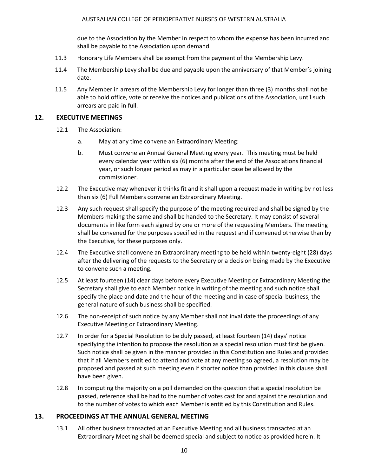due to the Association by the Member in respect to whom the expense has been incurred and shall be payable to the Association upon demand.

- 11.3 Honorary Life Members shall be exempt from the payment of the Membership Levy.
- 11.4 The Membership Levy shall be due and payable upon the anniversary of that Member's joining date.
- 11.5 Any Member in arrears of the Membership Levy for longer than three (3) months shall not be able to hold office, vote or receive the notices and publications of the Association, until such arrears are paid in full.

#### <span id="page-9-0"></span>**12. EXECUTIVE MEETINGS**

- 12.1 The Association:
	- a. May at any time convene an Extraordinary Meeting:
	- b. Must convene an Annual General Meeting every year. This meeting must be held every calendar year within six (6) months after the end of the Associations financial year, or such longer period as may in a particular case be allowed by the commissioner.
- 12.2 The Executive may whenever it thinks fit and it shall upon a request made in writing by not less than six (6) Full Members convene an Extraordinary Meeting.
- 12.3 Any such request shall specify the purpose of the meeting required and shall be signed by the Members making the same and shall be handed to the Secretary. It may consist of several documents in like form each signed by one or more of the requesting Members. The meeting shall be convened for the purposes specified in the request and if convened otherwise than by the Executive, for these purposes only.
- 12.4 The Executive shall convene an Extraordinary meeting to be held within twenty-eight (28) days after the delivering of the requests to the Secretary or a decision being made by the Executive to convene such a meeting.
- 12.5 At least fourteen (14) clear days before every Executive Meeting or Extraordinary Meeting the Secretary shall give to each Member notice in writing of the meeting and such notice shall specify the place and date and the hour of the meeting and in case of special business, the general nature of such business shall be specified.
- 12.6 The non-receipt of such notice by any Member shall not invalidate the proceedings of any Executive Meeting or Extraordinary Meeting.
- 12.7 In order for a Special Resolution to be duly passed, at least fourteen (14) days' notice specifying the intention to propose the resolution as a special resolution must first be given. Such notice shall be given in the manner provided in this Constitution and Rules and provided that if all Members entitled to attend and vote at any meeting so agreed, a resolution may be proposed and passed at such meeting even if shorter notice than provided in this clause shall have been given.
- 12.8 In computing the majority on a poll demanded on the question that a special resolution be passed, reference shall be had to the number of votes cast for and against the resolution and to the number of votes to which each Member is entitled by this Constitution and Rules.

#### <span id="page-9-1"></span>**13. PROCEEDINGS AT THE ANNUAL GENERAL MEETING**

13.1 All other business transacted at an Executive Meeting and all business transacted at an Extraordinary Meeting shall be deemed special and subject to notice as provided herein. It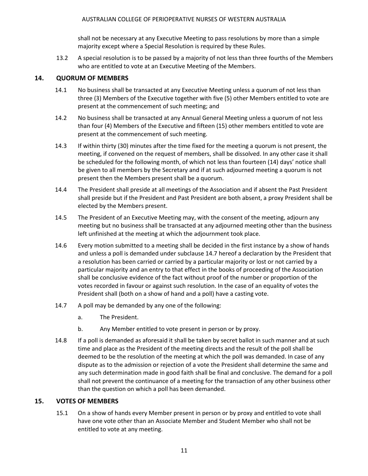shall not be necessary at any Executive Meeting to pass resolutions by more than a simple majority except where a Special Resolution is required by these Rules.

13.2 A special resolution is to be passed by a majority of not less than three fourths of the Members who are entitled to vote at an Executive Meeting of the Members.

## <span id="page-10-0"></span>**14. QUORUM OF MEMBERS**

- 14.1 No business shall be transacted at any Executive Meeting unless a quorum of not less than three (3) Members of the Executive together with five (5) other Members entitled to vote are present at the commencement of such meeting; and
- 14.2 No business shall be transacted at any Annual General Meeting unless a quorum of not less than four (4) Members of the Executive and fifteen (15) other members entitled to vote are present at the commencement of such meeting.
- 14.3 If within thirty (30) minutes after the time fixed for the meeting a quorum is not present, the meeting, if convened on the request of members, shall be dissolved. In any other case it shall be scheduled for the following month, of which not less than fourteen (14) days' notice shall be given to all members by the Secretary and if at such adjourned meeting a quorum is not present then the Members present shall be a quorum.
- 14.4 The President shall preside at all meetings of the Association and if absent the Past President shall preside but if the President and Past President are both absent, a proxy President shall be elected by the Members present.
- 14.5 The President of an Executive Meeting may, with the consent of the meeting, adjourn any meeting but no business shall be transacted at any adjourned meeting other than the business left unfinished at the meeting at which the adjournment took place.
- 14.6 Every motion submitted to a meeting shall be decided in the first instance by a show of hands and unless a poll is demanded under subclause 14.7 hereof a declaration by the President that a resolution has been carried or carried by a particular majority or lost or not carried by a particular majority and an entry to that effect in the books of proceeding of the Association shall be conclusive evidence of the fact without proof of the number or proportion of the votes recorded in favour or against such resolution. In the case of an equality of votes the President shall (both on a show of hand and a poll) have a casting vote.
- 14.7 A poll may be demanded by any one of the following:
	- a. The President.
	- b. Any Member entitled to vote present in person or by proxy.
- 14.8 If a poll is demanded as aforesaid it shall be taken by secret ballot in such manner and at such time and place as the President of the meeting directs and the result of the poll shall be deemed to be the resolution of the meeting at which the poll was demanded. In case of any dispute as to the admission or rejection of a vote the President shall determine the same and any such determination made in good faith shall be final and conclusive. The demand for a poll shall not prevent the continuance of a meeting for the transaction of any other business other than the question on which a poll has been demanded.

## <span id="page-10-1"></span>**15. VOTES OF MEMBERS**

15.1 On a show of hands every Member present in person or by proxy and entitled to vote shall have one vote other than an Associate Member and Student Member who shall not be entitled to vote at any meeting.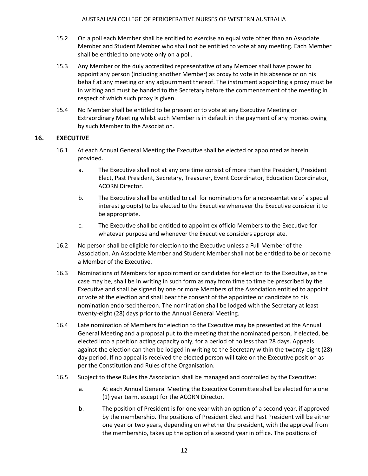- 15.2 On a poll each Member shall be entitled to exercise an equal vote other than an Associate Member and Student Member who shall not be entitled to vote at any meeting. Each Member shall be entitled to one vote only on a poll.
- 15.3 Any Member or the duly accredited representative of any Member shall have power to appoint any person (including another Member) as proxy to vote in his absence or on his behalf at any meeting or any adjournment thereof. The instrument appointing a proxy must be in writing and must be handed to the Secretary before the commencement of the meeting in respect of which such proxy is given.
- 15.4 No Member shall be entitled to be present or to vote at any Executive Meeting or Extraordinary Meeting whilst such Member is in default in the payment of any monies owing by such Member to the Association.

## <span id="page-11-0"></span>**16. EXECUTIVE**

- 16.1 At each Annual General Meeting the Executive shall be elected or appointed as herein provided.
	- a. The Executive shall not at any one time consist of more than the President, President Elect, Past President, Secretary, Treasurer, Event Coordinator, Education Coordinator, ACORN Director.
	- b. The Executive shall be entitled to call for nominations for a representative of a special interest group(s) to be elected to the Executive whenever the Executive consider it to be appropriate.
	- c. The Executive shall be entitled to appoint ex officio Members to the Executive for whatever purpose and whenever the Executive considers appropriate.
- 16.2 No person shall be eligible for election to the Executive unless a Full Member of the Association. An Associate Member and Student Member shall not be entitled to be or become a Member of the Executive.
- 16.3 Nominations of Members for appointment or candidates for election to the Executive, as the case may be, shall be in writing in such form as may from time to time be prescribed by the Executive and shall be signed by one or more Members of the Association entitled to appoint or vote at the election and shall bear the consent of the appointee or candidate to his nomination endorsed thereon. The nomination shall be lodged with the Secretary at least twenty-eight (28) days prior to the Annual General Meeting.
- 16.4 Late nomination of Members for election to the Executive may be presented at the Annual General Meeting and a proposal put to the meeting that the nominated person, if elected, be elected into a position acting capacity only, for a period of no less than 28 days. Appeals against the election can then be lodged in writing to the Secretary within the twenty-eight (28) day period. If no appeal is received the elected person will take on the Executive position as per the Constitution and Rules of the Organisation.
- 16.5 Subject to these Rules the Association shall be managed and controlled by the Executive:
	- a. At each Annual General Meeting the Executive Committee shall be elected for a one (1) year term, except for the ACORN Director.
	- b. The position of President is for one year with an option of a second year, if approved by the membership. The positions of President Elect and Past President will be either one year or two years, depending on whether the president, with the approval from the membership, takes up the option of a second year in office. The positions of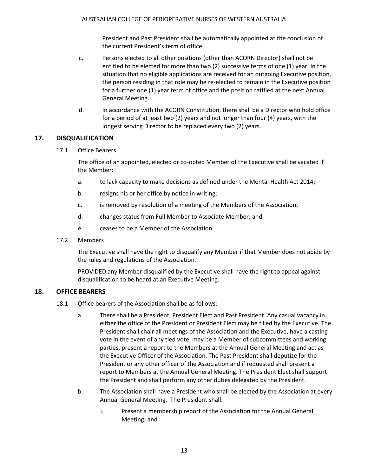President and Past President shall be automatically appointed at the conclusion of the current President's term of office.

- c. Persons elected to all other positions (other than ACORN Director) shall not be entitled to be elected for more than two (2) successive terms of one (1) year. In the situation that no eligible applications are received for an outgoing Executive position, the person residing in that role may be re-elected to remain in the Executive position for a further one (1) year term of office and the position ratified at the next Annual General Meeting.
- d. In accordance with the ACORN Constitution, there shall be a Director who hold office for a period of at least two (2) years and not longer than four (4) years, with the longest serving Director to be replaced every two (2) years.

## <span id="page-12-0"></span>**17. DISQUALIFICATION**

17.1 Office Bearers

The office of an appointed, elected or co-opted Member of the Executive shall be vacated if the Member:

- a. to lack capacity to make decisions as defined under the Mental Health Act 2014;
- b. resigns his or her office by notice in writing;
- c. is removed by resolution of a meeting of the Members of the Association;
- d. changes status from Full Member to Associate Member; and
- e. ceases to be a Member of the Association.
- 17.2 Members

The Executive shall have the right to disqualify any Member if that Member does not abide by the rules and regulations of the Association.

PROVIDED any Member disqualified by the Executive shall have the right to appeal against disqualification to be heard at an Executive Meeting.

## <span id="page-12-1"></span>**18. OFFICE BEARERS**

- 18.1 Office bearers of the Association shall be as follows:
	- a. There shall be a President, President Elect and Past President. Any casual vacancy in either the office of the President or President Elect may be filled by the Executive. The President shall chair all meetings of the Association and the Executive, have a casting vote in the event of any tied vote, may be a Member of subcommittees and working parties, present a report to the Members at the Annual General Meeting and act as the Executive Officer of the Association. The Past President shall deputize for the President or any other officer of the Association and if requested shall present a report to Members at the Annual General Meeting. The President Elect shall support the President and shall perform any other duties delegated by the President.
	- b. The Association shall have a President who shall be elected by the Association at every Annual General Meeting. The President shall:
		- i. Present a membership report of the Association for the Annual General Meeting; and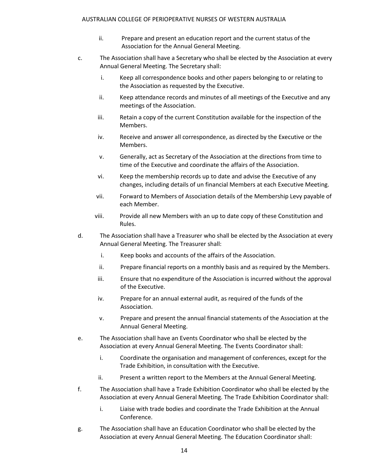- ii. Prepare and present an education report and the current status of the Association for the Annual General Meeting.
- c. The Association shall have a Secretary who shall be elected by the Association at every Annual General Meeting. The Secretary shall:
	- i. Keep all correspondence books and other papers belonging to or relating to the Association as requested by the Executive.
	- ii. Keep attendance records and minutes of all meetings of the Executive and any meetings of the Association.
	- iii. Retain a copy of the current Constitution available for the inspection of the Members.
	- iv. Receive and answer all correspondence, as directed by the Executive or the Members.
	- v. Generally, act as Secretary of the Association at the directions from time to time of the Executive and coordinate the affairs of the Association.
	- vi. Keep the membership records up to date and advise the Executive of any changes, including details of un financial Members at each Executive Meeting.
	- vii. Forward to Members of Association details of the Membership Levy payable of each Member.
	- viii. Provide all new Members with an up to date copy of these Constitution and Rules.
- d. The Association shall have a Treasurer who shall be elected by the Association at every Annual General Meeting. The Treasurer shall:
	- i. Keep books and accounts of the affairs of the Association.
	- ii. Prepare financial reports on a monthly basis and as required by the Members.
	- iii. Ensure that no expenditure of the Association is incurred without the approval of the Executive.
	- iv. Prepare for an annual external audit, as required of the funds of the Association.
	- v. Prepare and present the annual financial statements of the Association at the Annual General Meeting.
- e. The Association shall have an Events Coordinator who shall be elected by the Association at every Annual General Meeting. The Events Coordinator shall:
	- i. Coordinate the organisation and management of conferences, except for the Trade Exhibition, in consultation with the Executive.
	- ii. Present a written report to the Members at the Annual General Meeting.
- f. The Association shall have a Trade Exhibition Coordinator who shall be elected by the Association at every Annual General Meeting. The Trade Exhibition Coordinator shall:
	- i. Liaise with trade bodies and coordinate the Trade Exhibition at the Annual Conference.
- g. The Association shall have an Education Coordinator who shall be elected by the Association at every Annual General Meeting. The Education Coordinator shall: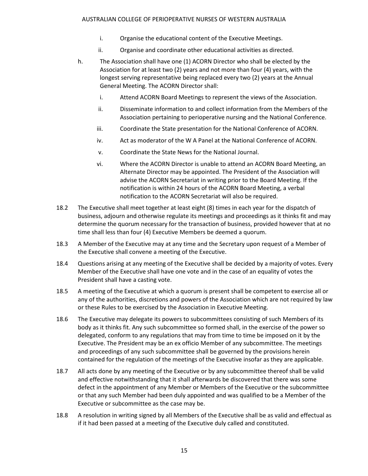- i. Organise the educational content of the Executive Meetings.
- ii. Organise and coordinate other educational activities as directed.
- h. The Association shall have one (1) ACORN Director who shall be elected by the Association for at least two (2) years and not more than four (4) years, with the longest serving representative being replaced every two (2) years at the Annual General Meeting. The ACORN Director shall:
	- i. Attend ACORN Board Meetings to represent the views of the Association.
	- ii. Disseminate information to and collect information from the Members of the Association pertaining to perioperative nursing and the National Conference.
	- iii. Coordinate the State presentation for the National Conference of ACORN.
	- iv. Act as moderator of the W A Panel at the National Conference of ACORN.
	- v. Coordinate the State News for the National Journal.
	- vi. Where the ACORN Director is unable to attend an ACORN Board Meeting, an Alternate Director may be appointed. The President of the Association will advise the ACORN Secretariat in writing prior to the Board Meeting. If the notification is within 24 hours of the ACORN Board Meeting, a verbal notification to the ACORN Secretariat will also be required.
- 18.2 The Executive shall meet together at least eight (8) times in each year for the dispatch of business, adjourn and otherwise regulate its meetings and proceedings as it thinks fit and may determine the quorum necessary for the transaction of business, provided however that at no time shall less than four (4) Executive Members be deemed a quorum.
- 18.3 A Member of the Executive may at any time and the Secretary upon request of a Member of the Executive shall convene a meeting of the Executive.
- 18.4 Questions arising at any meeting of the Executive shall be decided by a majority of votes. Every Member of the Executive shall have one vote and in the case of an equality of votes the President shall have a casting vote.
- 18.5 A meeting of the Executive at which a quorum is present shall be competent to exercise all or any of the authorities, discretions and powers of the Association which are not required by law or these Rules to be exercised by the Association in Executive Meeting.
- 18.6 The Executive may delegate its powers to subcommittees consisting of such Members of its body as it thinks fit. Any such subcommittee so formed shall, in the exercise of the power so delegated, conform to any regulations that may from time to time be imposed on it by the Executive. The President may be an ex officio Member of any subcommittee. The meetings and proceedings of any such subcommittee shall be governed by the provisions herein contained for the regulation of the meetings of the Executive insofar as they are applicable.
- 18.7 All acts done by any meeting of the Executive or by any subcommittee thereof shall be valid and effective notwithstanding that it shall afterwards be discovered that there was some defect in the appointment of any Member or Members of the Executive or the subcommittee or that any such Member had been duly appointed and was qualified to be a Member of the Executive or subcommittee as the case may be.
- 18.8 A resolution in writing signed by all Members of the Executive shall be as valid and effectual as if it had been passed at a meeting of the Executive duly called and constituted.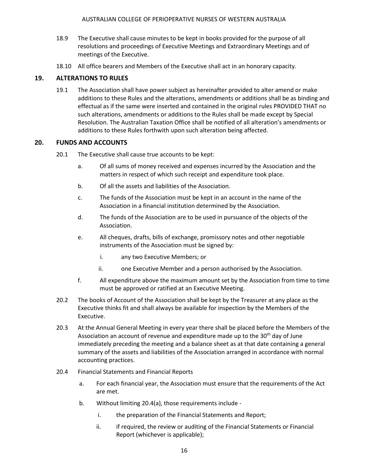- 18.9 The Executive shall cause minutes to be kept in books provided for the purpose of all resolutions and proceedings of Executive Meetings and Extraordinary Meetings and of meetings of the Executive.
- 18.10 All office bearers and Members of the Executive shall act in an honorary capacity.

## <span id="page-15-0"></span>**19. ALTERATIONS TO RULES**

19.1 The Association shall have power subject as hereinafter provided to alter amend or make additions to these Rules and the alterations, amendments or additions shall be as binding and effectual as if the same were inserted and contained in the original rules PROVIDED THAT no such alterations, amendments or additions to the Rules shall be made except by Special Resolution. The Australian Taxation Office shall be notified of all alteration's amendments or additions to these Rules forthwith upon such alteration being affected.

## <span id="page-15-1"></span>**20. FUNDS AND ACCOUNTS**

- 20.1 The Executive shall cause true accounts to be kept:
	- a. Of all sums of money received and expenses incurred by the Association and the matters in respect of which such receipt and expenditure took place.
	- b. Of all the assets and liabilities of the Association.
	- c. The funds of the Association must be kept in an account in the name of the Association in a financial institution determined by the Association.
	- d. The funds of the Association are to be used in pursuance of the objects of the Association.
	- e. All cheques, drafts, bills of exchange, promissory notes and other negotiable instruments of the Association must be signed by:
		- i. any two Executive Members; or
		- ii. one Executive Member and a person authorised by the Association.
	- f. All expenditure above the maximum amount set by the Association from time to time must be approved or ratified at an Executive Meeting.
- 20.2 The books of Account of the Association shall be kept by the Treasurer at any place as the Executive thinks fit and shall always be available for inspection by the Members of the Executive.
- 20.3 At the Annual General Meeting in every year there shall be placed before the Members of the Association an account of revenue and expenditure made up to the  $30<sup>th</sup>$  day of June immediately preceding the meeting and a balance sheet as at that date containing a general summary of the assets and liabilities of the Association arranged in accordance with normal accounting practices.
- 20.4 Financial Statements and Financial Reports
	- a. For each financial year, the Association must ensure that the requirements of the Act are met.
	- b. Without limiting 20.4(a), those requirements include
		- i. the preparation of the Financial Statements and Report;
		- ii. if required, the review or auditing of the Financial Statements or Financial Report (whichever is applicable);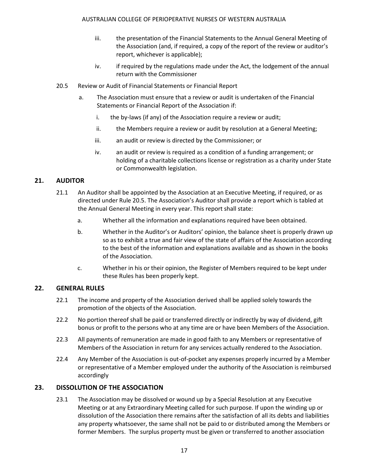- iii. the presentation of the Financial Statements to the Annual General Meeting of the Association (and, if required, a copy of the report of the review or auditor's report, whichever is applicable);
- iv. if required by the regulations made under the Act, the lodgement of the annual return with the Commissioner
- 20.5 Review or Audit of Financial Statements or Financial Report
	- a. The Association must ensure that a review or audit is undertaken of the Financial Statements or Financial Report of the Association if:
		- i. the by-laws (if any) of the Association require a review or audit;
		- ii. the Members require a review or audit by resolution at a General Meeting;
		- iii. an audit or review is directed by the Commissioner; or
		- iv. an audit or review is required as a condition of a funding arrangement; or holding of a charitable collections license or registration as a charity under State or Commonwealth legislation.

## <span id="page-16-0"></span>**21. AUDITOR**

- 21.1 An Auditor shall be appointed by the Association at an Executive Meeting, if required, or as directed under Rule 20.5. The Association's Auditor shall provide a report which is tabled at the Annual General Meeting in every year. This report shall state:
	- a. Whether all the information and explanations required have been obtained.
	- b. Whether in the Auditor's or Auditors' opinion, the balance sheet is properly drawn up so as to exhibit a true and fair view of the state of affairs of the Association according to the best of the information and explanations available and as shown in the books of the Association.
	- c. Whether in his or their opinion, the Register of Members required to be kept under these Rules has been properly kept.

## <span id="page-16-1"></span>**22. GENERAL RULES**

- 22.1 The income and property of the Association derived shall be applied solely towards the promotion of the objects of the Association.
- 22.2 No portion thereof shall be paid or transferred directly or indirectly by way of dividend, gift bonus or profit to the persons who at any time are or have been Members of the Association.
- 22.3 All payments of remuneration are made in good faith to any Members or representative of Members of the Association in return for any services actually rendered to the Association.
- 22.4 Any Member of the Association is out-of-pocket any expenses properly incurred by a Member or representative of a Member employed under the authority of the Association is reimbursed accordingly

## <span id="page-16-2"></span>**23. DISSOLUTION OF THE ASSOCIATION**

23.1 The Association may be dissolved or wound up by a Special Resolution at any Executive Meeting or at any Extraordinary Meeting called for such purpose. If upon the winding up or dissolution of the Association there remains after the satisfaction of all its debts and liabilities any property whatsoever, the same shall not be paid to or distributed among the Members or former Members. The surplus property must be given or transferred to another association